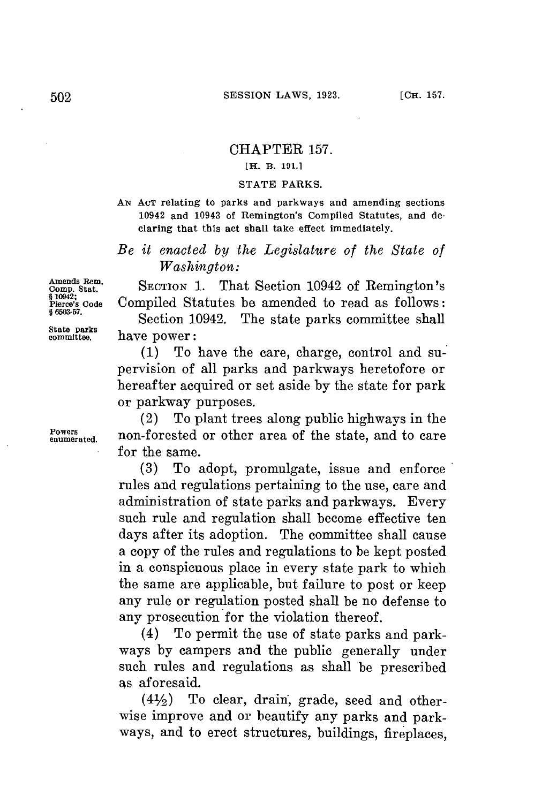### CHAPTER **157.**

## **[H. B. 191.1**

### **STATE PARKS.**

**AN ACT relating to parks and parkways and amending sections 10942 and 10943 of Remington's Compiled Statutes, and declaring that this act shall take effect immediately.**

*Be it enacted by the Legislature of the State of Washington:*

Amends Rem. **SECTION 1.** That Section 10942 of Remington's <br>
show code Compiled Statutes be amended to read as follows: Compiled Statutes be amended to read as follows:

<sup>§ 6000-07</sup>. Section 10942. The state parks committee shall<br>
state parks<br>
committee. have power: have power:

> **(1)** To have the care, charge, control and supervision of all parks and parkways heretofore or hereafter acquired or set aside **by** the state **for** park or parkway purposes.

(2) To plant trees along public highways in the **enumerated.** non-forested or other area of the state, and to care for the same.

> **(3)** To adopt, promulgate, issue and enforce rules and regulations pertaining to the use, care and administration of state parks and parkways. Every such rule and regulation shall become effective ten days after its adoption. The committee shall cause a copy of the rules and regulations to be kept posted in a conspicuous place in every state park to which the same are applicable, but failure to post or keep any rule or regulation posted shall be no defense to any prosecution for the violation thereof.

> (4) To permit the use of state parks and parkways **by** campers and the public generally under such rules and regulations as shall be prescribed as aforesaid.

> **(41/2)** To clear, drain, grade, seed and otherwise improve and or beautify any parks and parkways, and to erect structures, buildings, fireplaces,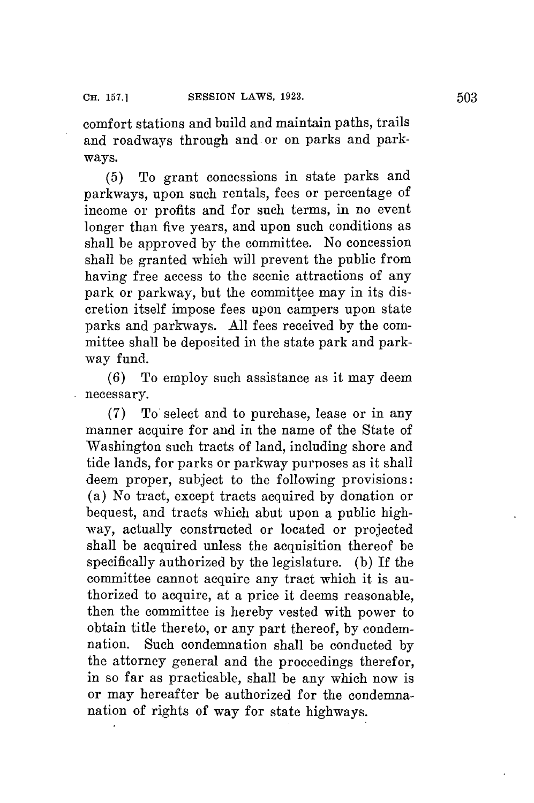comfort stations and build and maintain paths, trails and roadways through and. or on parks and parkways.

**(5)** To grant concessions in state parks and parkways, upon such rentals, fees or percentage of income or profits and **for** such terms, in no event longer than five years, and upon such conditions as shall be approved **by** the committee. No concession shall be granted which will prevent the public from having free access to the scenic attractions of any park or parkway, but the committee may in its discretion itself impose fees upon campers upon state parks and parkways. **All** fees received **by** the committee shall **be** deposited in the state park and parkway fund.

*(6)* To employ such assistance as it may deem necessary.

**(7)** To select and to purchase, lease or in any manner acquire for and in the name of the State of Washington such tracts of land, including shore and tide lands, **for** parks or parkway purposes as it shall deem proper, subject to the following provisions: (a) No tract, except tracts acquired **by** donation or bequest, and tracts which abut upon a public highway, actually constructed or located or projected shall be acquired unless the acquisition thereof be specifically authorized **by** the legislature. **(b)** If the committee cannot acquire any tract which it is authorized to acquire, at a price it deems reasonable, then the committee is hereby vested with power to obtain title thereto, or any part thereof, **by** condemnation. Such condemnation shall be conducted **by** the attorney general and the proceedings therefor, in so far as practicable, shall be any which now is or may hereafter **be** authorized for the condemnanation of rights of way for state highways.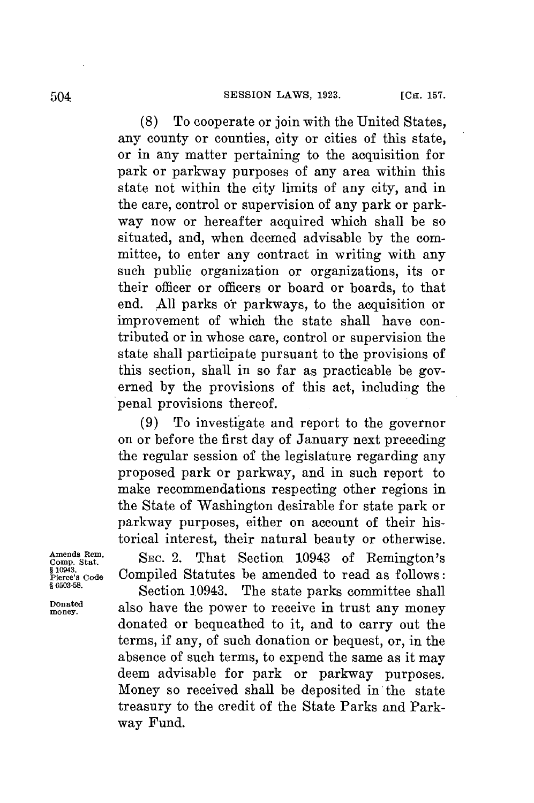**(8)** To cooperate or join with the United States, any county or counties, city or cities of this state, or in any matter pertaining to the acquisition **for** park or parkway purposes of any area within this state not within the city limits of any city, and in the care, control or supervision of any park or parkway now or hereafter acquired which shall be so situated, and, when deemed advisable **by** the committee, to enter any contract in writing with any such public organization or organizations, its or their officer or officers or board or boards, to that end. All parks or parkways, to the acquisition or improvement of which the state shall have contributed or in whose care, control or supervision the state shall participate pursuant to the provisions of this section, shall in so far as practicable be governed **by** the provisions of this act, including the penal provisions thereof.

**(9)** To investigate and report to the governor on or before the first day of January next preceding the regular session of the legislature regarding any proposed park or parkway, and in such report to make recommendations respecting other regions in the State of Washington desirable **for** state park or parkway purposes, either on account of their historical interest, their natural beauty or otherwise.

Amends Rem.<br>Comp. Stat. SEC. 2. That Section 10943 of Remington's <sup>8</sup><sup>10943</sup>.<br>Pierce's Code Compiled Statutes be amended to read as follows:

**Section 10943.** The state parks committee shall **monaed** also have the power to receive in trust any money donated or bequeathed to it, and to carry out the terms, if any, of such donation or bequest, or, in the absence of such terms, to expend the same as it may deem advisable for park or parkway purposes. Money so received shall be deposited in the state treasury to the credit of the State Parks and Parkway Fund.